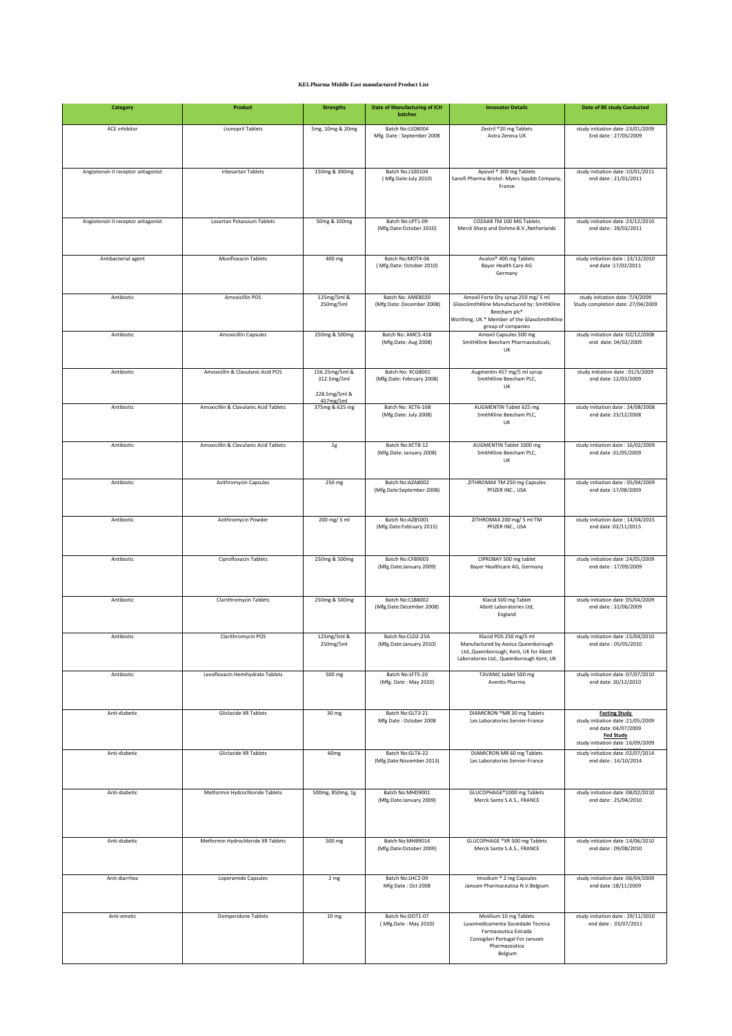| <b>Category</b>                    | <b>Product</b>                        | <b>Strengths</b>              | <b>Date of Manufacturing of ICH</b><br>batches | <b>Innovator Details</b>                                                      | <b>Date of BE study Conducted</b>                                                 |
|------------------------------------|---------------------------------------|-------------------------------|------------------------------------------------|-------------------------------------------------------------------------------|-----------------------------------------------------------------------------------|
| ACE inhibitor                      | <b>Lisinopril Tablets</b>             | 5mg, 10mg & 20mg              | Batch No:LSD8004<br>Mfg. Date: September 2008  | Zestril ®20 mg Tablets<br>Astra Zeneca UK                                     | study initiation date: 23/01/2009<br>End date: 27/05/2009                         |
|                                    |                                       |                               |                                                |                                                                               |                                                                                   |
| Angiotensin II receptor antagonist | <b>Irbesartan Tablets</b>             | 150mg & 300mg                 | Batch No:J100104                               | Apovel ® 300 mg Tablets                                                       | study initiation date: 10/01/2011                                                 |
|                                    |                                       |                               | (Mfg.Date:July 2010)                           | Sanofi Pharma Bristol- Myers Squibb Company,<br>France                        | end date: 21/01/2011                                                              |
|                                    |                                       |                               |                                                |                                                                               |                                                                                   |
| Angiotensin II receptor antagonist | Losartan Potassium Tablets            | 50mg & 100mg                  | Batch No:LPT1-09                               | COZAAR TM 100 MG Tablets                                                      | study initiation date: 23/12/2010                                                 |
|                                    |                                       |                               | (Mfg.Date:October 2010)                        | Merck Sharp and Dohme B.V., Netherlands                                       | end date: 28/02/2011                                                              |
| Antibacterial agent                | <b>Moxifloxacin Tablets</b>           | 400 mg                        | Batch No:MOT4-06                               | Avalox <sup>®</sup> 400 mg Tablets                                            | study initiation date: 23/12/2010                                                 |
|                                    |                                       |                               | (Mfg.Date: October 2010)                       | Bayer Health Care AG<br>Germany                                               | end date: 17/02/2011                                                              |
| Antibiotic                         | Amoxicillin POS                       | 125mg/5ml &                   | Batch No: AME8020                              | Amoxil Forte Dry syrup 250 mg/ 5 ml                                           | study initiation date: 7/4/2009                                                   |
|                                    |                                       | 250mg/5ml                     | (Mfg Date: December 2008)                      | GlaxoSmithKline Manufactured by: SmithKline<br>Beecham plc*                   | Study completion date: 27/04/2009                                                 |
|                                    |                                       |                               |                                                | Worthing, UK.* Member of the GlaxoSmithKline<br>group of companies            |                                                                                   |
| Antibiotic                         | <b>Amoxicillin Capsules</b>           | 250mg & 500mg                 | Batch No: AMC5-41B<br>(Mfg.Date: Aug 2008)     | Amoxil Capsules 500 mg<br>SmithKline Beecham Pharmaceuticals,<br>UK           | study initiation date :02/12/2008<br>end date: 04/02/2009                         |
|                                    |                                       |                               |                                                |                                                                               |                                                                                   |
| Antibiotic                         | Amoxicillin & Clavulanic Acid POS     | 156.25mg/5ml &<br>312.5mg/5ml | Batch No: XCG8001<br>(Mfg.Date: February 2008) | Augmentin 457 mg/5 ml syrup<br>SmithKline Beecham PLC,<br>UK                  | study initiation date: 01/3/2009<br>end date: 12/03/2009                          |
|                                    |                                       | 228.5mg/5ml &<br>457mg/5ml    |                                                |                                                                               |                                                                                   |
| Antibiotic                         | Amoxicillin & Clavulanic Acid Tablets | 375mg & 625 mg                | Batch No: XCT6-16B<br>(Mfg.Date: July 2008)    | AUGMENTIN Tablet 625 mg<br>SmithKline Beecham PLC,<br>UK                      | study initiation date: 24/08/2008<br>end date: 23/12/2008                         |
|                                    |                                       |                               |                                                |                                                                               |                                                                                   |
| Antibiotic                         | Amoxicillin & Clavulanic Acid Tablets | 1g                            | Batch No:XCT8-12<br>(Mfg.Date: January 2008)   | AUGMENTIN Tablet 1000 mg<br>SmithKline Beecham PLC,                           | study initiation date: 16/02/2009<br>end date :31/05/2009                         |
|                                    |                                       |                               |                                                | UK                                                                            |                                                                                   |
| Antibiotic                         | Azithromycin Capsules                 | 250 mg                        | Batch No:AZA8002<br>(Mfg.Date:September 2008)  | ZITHROMAX TM 250 mg Capsules<br>PFIZER INC., USA                              | study initiation date: 05/04/2009<br>end date: 17/08/2009                         |
|                                    |                                       |                               |                                                |                                                                               |                                                                                   |
| Antibiotic                         | Azithromycin Powder                   | 200 mg/ 5 ml                  | Batch No:AZB5001<br>(Mfg.Date:February 2015)   | ZITHROMAX 200 mg/ 5 ml TM<br>PFIZER INC., USA                                 | study initiation date: 14/04/2015<br>end date :02/11/2015                         |
|                                    |                                       |                               |                                                |                                                                               |                                                                                   |
| Antibiotic                         | Ciprofloxacin Tablets                 | 250mg & 500mg                 | Batch No:CFB9003<br>(Mfg.Date:January 2009)    | CIPROBAY 500 mg tablet<br>Bayer Healthcare AG, Germany                        | study initiation date: 24/05/2009<br>end date: 17/09/2009                         |
|                                    |                                       |                               |                                                |                                                                               |                                                                                   |
| Antibiotic                         | <b>Clarithromycin Tablets</b>         | 250mg & 500mg                 | Batch No:CLB8002                               | Klacid 500 mg Tablet                                                          | study initiation date :05/04/2009                                                 |
|                                    |                                       |                               | (Mfg.Date:December 2008)                       | Abott Laboratories Ltd,<br>England                                            | end date: 22/06/2009                                                              |
| Antibiotic                         | Clarithromycin POS                    | 125mg/5ml &                   | Batch No:CLD2-25A                              | Klacid POS 250 mg/5 ml                                                        | study initiation date: 15/04/2010                                                 |
|                                    |                                       | 250mg/5ml                     | (Mfg.Date:January 2010)                        | Manufactured by Aesica Queenborough<br>Ltd., Queenborough, Kent, UK for Abott | end date: 05/05/2010                                                              |
| Antibiotic                         | Levofloxacin Hemihydrate Tablets      | 500 mg                        | Batch No:LFT5-20                               | Laboratories Ltd., Queenborough Kent, UK<br>TAVANIC tablet 500 mg             | study initiation date :07/07/2010                                                 |
|                                    |                                       |                               | (Mfg. Date: May 2010)                          | Aventis Pharma                                                                | end date: 30/12/2010                                                              |
|                                    |                                       |                               |                                                |                                                                               |                                                                                   |
| Anti-diabetic                      | Gliclazide XR Tablets                 | 30 mg                         | Batch No:GLT3-21<br>Mfg Date: October 2008     | DIAMICRON ®MR 30 mg Tablets<br>Les Laboratories Servier-France                | <b>Fasting Study</b><br>study initiation date: 21/05/2009<br>end date :04/07/2009 |
|                                    |                                       |                               |                                                |                                                                               | <b>Fed Study</b><br>study initiation date: 16/09/2009                             |
| Anti-diabetic                      | <b>Gliclazide XR Tablets</b>          | 60 <sub>mg</sub>              | Batch No:GLT6-22<br>(Mfg.Date:November 2013)   | DIAMICRON MR 60 mg Tablets<br>Les Laboratories Servier-France                 | study initiation date: 02/07/2014<br>end date: 14/10/2014                         |
|                                    |                                       |                               |                                                |                                                                               |                                                                                   |
| Anti-diabetic                      | Metformin Hydrochloride Tablets       | 500mg, 850mg, 1g              | Batch No:MHD9001<br>(Mfg.Date:January 2009)    | GLUCOPHAGE®1000 mg Tablets<br>Merck Sante S.A.S., FRANCE                      | study initiation date: 08/02/2010<br>end date: 25/04/2010                         |
|                                    |                                       |                               |                                                |                                                                               |                                                                                   |
|                                    |                                       |                               |                                                |                                                                               |                                                                                   |
| Anti-diabetic                      | Metformin Hydrochloride XR Tablets    | 500 mg                        | Batch No:MHB9014<br>(Mfg.Date:October 2009)    | GLUCOPHAGE ®XR 500 mg Tablets<br>Merck Sante S.A.S., FRANCE                   | study initiation date: 14/06/2010<br>end date: 09/08/2010                         |
|                                    |                                       |                               |                                                |                                                                               |                                                                                   |
| Anti-diarrhea                      | Loperamide Capsules                   | 2 <sub>mg</sub>               | Batch No:LHC2-09<br>Mfg Date: Oct 2008         | Imodium ® 2 mg Capsules<br>Janssen Pharmaceutica N.V. Belgium                 | study initiation date :06/04/2009<br>end date: 18/11/2009                         |
|                                    |                                       |                               |                                                |                                                                               |                                                                                   |
| Anti-emetic                        | Domperidone Tablets                   | 10 <sub>mg</sub>              | Batch No:DOT1-07<br>(Mfg.Date: May 2010)       | Motilium 10 mg Tablets<br>Lusomedicamenta Sociedade Tecnica                   | study initiation date: 29/11/2010<br>end date: 03/07/2011                         |
|                                    |                                       |                               |                                                | Farmaceutica Estrada<br>Consigileri Portugal For Janssen                      |                                                                                   |
|                                    |                                       |                               |                                                | Pharmaceutica<br>Belgium                                                      |                                                                                   |

## **KELPharma Middle East manufactured Product List**